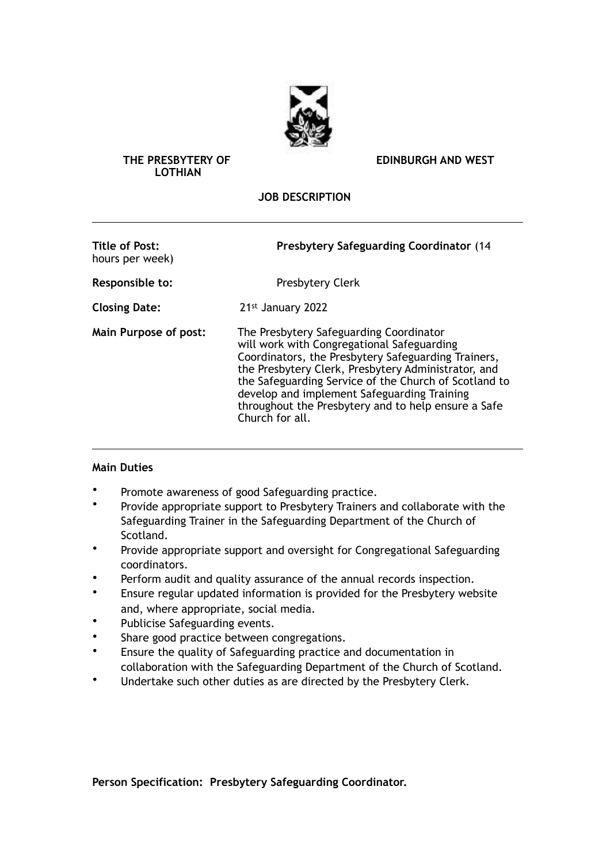

## **LOTHIAN**

**THE PRESBYTERY OF EDINBURGH AND WEST** 

## **JOB DESCRIPTION**

| <b>Title of Post:</b><br>hours per week) | <b>Presbytery Safeguarding Coordinator (14)</b>                                                                                                                                                                                                                                                                                                                                       |
|------------------------------------------|---------------------------------------------------------------------------------------------------------------------------------------------------------------------------------------------------------------------------------------------------------------------------------------------------------------------------------------------------------------------------------------|
| Responsible to:                          | <b>Presbytery Clerk</b>                                                                                                                                                                                                                                                                                                                                                               |
| <b>Closing Date:</b>                     | 21st January 2022                                                                                                                                                                                                                                                                                                                                                                     |
| Main Purpose of post:                    | The Presbytery Safeguarding Coordinator<br>will work with Congregational Safeguarding<br>Coordinators, the Presbytery Safeguarding Trainers,<br>the Presbytery Clerk, Presbytery Administrator, and<br>the Safeguarding Service of the Church of Scotland to<br>develop and implement Safeguarding Training<br>throughout the Presbytery and to help ensure a Safe<br>Church for all. |

## **Main Duties**

- Promote awareness of good Safeguarding practice.
- Provide appropriate support to Presbytery Trainers and collaborate with the Safeguarding Trainer in the Safeguarding Department of the Church of Scotland.
- Provide appropriate support and oversight for Congregational Safeguarding coordinators.
- Perform audit and quality assurance of the annual records inspection.
- Ensure regular updated information is provided for the Presbytery website and, where appropriate, social media.
- Publicise Safeguarding events.
- Share good practice between congregations.
- Ensure the quality of Safeguarding practice and documentation in collaboration with the Safeguarding Department of the Church of Scotland.
- Undertake such other duties as are directed by the Presbytery Clerk.

**Person Specification: Presbytery Safeguarding Coordinator.**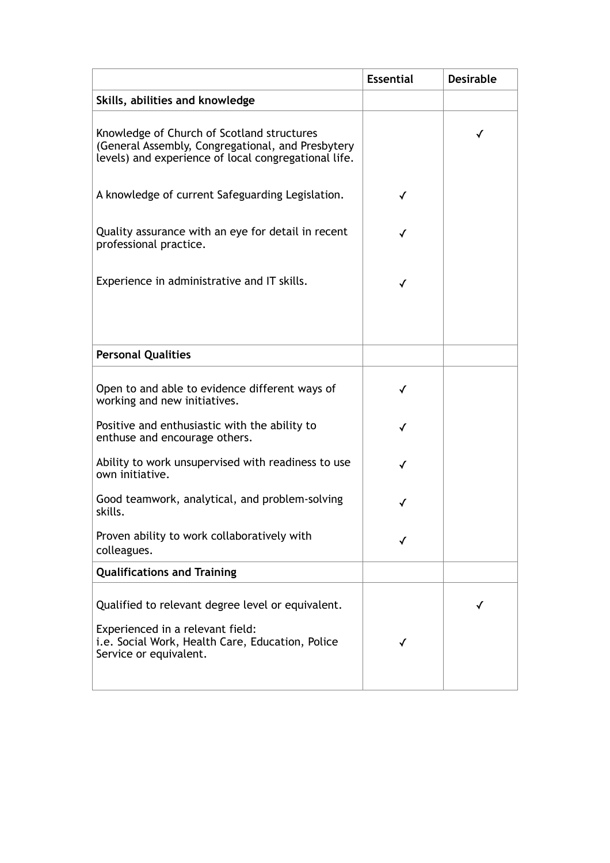|                                                                                                                                                                     | <b>Essential</b> | <b>Desirable</b> |
|---------------------------------------------------------------------------------------------------------------------------------------------------------------------|------------------|------------------|
| Skills, abilities and knowledge                                                                                                                                     |                  |                  |
| Knowledge of Church of Scotland structures<br>(General Assembly, Congregational, and Presbytery<br>levels) and experience of local congregational life.             |                  | ✓                |
| A knowledge of current Safeguarding Legislation.                                                                                                                    |                  |                  |
| Quality assurance with an eye for detail in recent<br>professional practice.                                                                                        |                  |                  |
| Experience in administrative and IT skills.                                                                                                                         | ✓                |                  |
|                                                                                                                                                                     |                  |                  |
| <b>Personal Qualities</b>                                                                                                                                           |                  |                  |
| Open to and able to evidence different ways of<br>working and new initiatives.                                                                                      |                  |                  |
| Positive and enthusiastic with the ability to<br>enthuse and encourage others.                                                                                      | ✓                |                  |
| Ability to work unsupervised with readiness to use<br>own initiative.                                                                                               | ✓                |                  |
| Good teamwork, analytical, and problem-solving<br>skills.                                                                                                           |                  |                  |
| Proven ability to work collaboratively with<br>colleagues.                                                                                                          |                  |                  |
| <b>Qualifications and Training</b>                                                                                                                                  |                  |                  |
| Qualified to relevant degree level or equivalent.<br>Experienced in a relevant field:<br>i.e. Social Work, Health Care, Education, Police<br>Service or equivalent. |                  | √                |